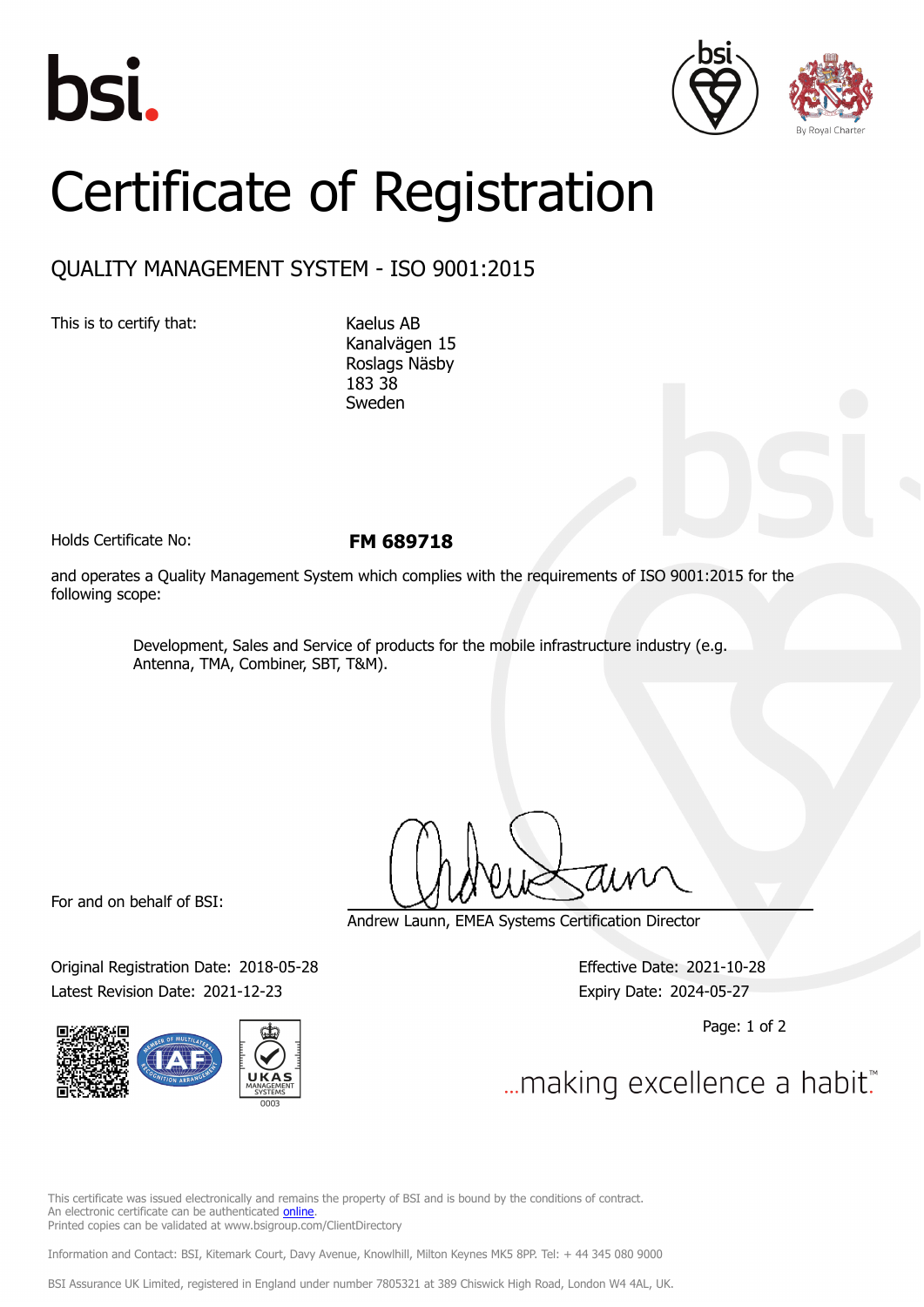





## Certificate of Registration

## QUALITY MANAGEMENT SYSTEM - ISO 9001:2015

This is to certify that: Kaelus AB

Kanalvägen 15 Roslags Näsby 183 38 Sweden

Holds Certificate No: **FM 689718**

and operates a Quality Management System which complies with the requirements of ISO 9001:2015 for the following scope:

> Development, Sales and Service of products for the mobile infrastructure industry (e.g. Antenna, TMA, Combiner, SBT, T&M).

For and on behalf of BSI:

Original Registration Date: 2018-05-28 Effective Date: 2021-10-28 Latest Revision Date: 2021-12-23 Expiry Date: 2024-05-27



Andrew Launn, EMEA Systems Certification Director

Page: 1 of 2

... making excellence a habit."

This certificate was issued electronically and remains the property of BSI and is bound by the conditions of contract. An electronic certificate can be authenticated [online](https://pgplus.bsigroup.com/CertificateValidation/CertificateValidator.aspx?CertificateNumber=FM+689718&ReIssueDate=23%2f12%2f2021&Template=cemea_en) Printed copies can be validated at www.bsigroup.com/ClientDirectory

Information and Contact: BSI, Kitemark Court, Davy Avenue, Knowlhill, Milton Keynes MK5 8PP. Tel: + 44 345 080 9000

BSI Assurance UK Limited, registered in England under number 7805321 at 389 Chiswick High Road, London W4 4AL, UK.